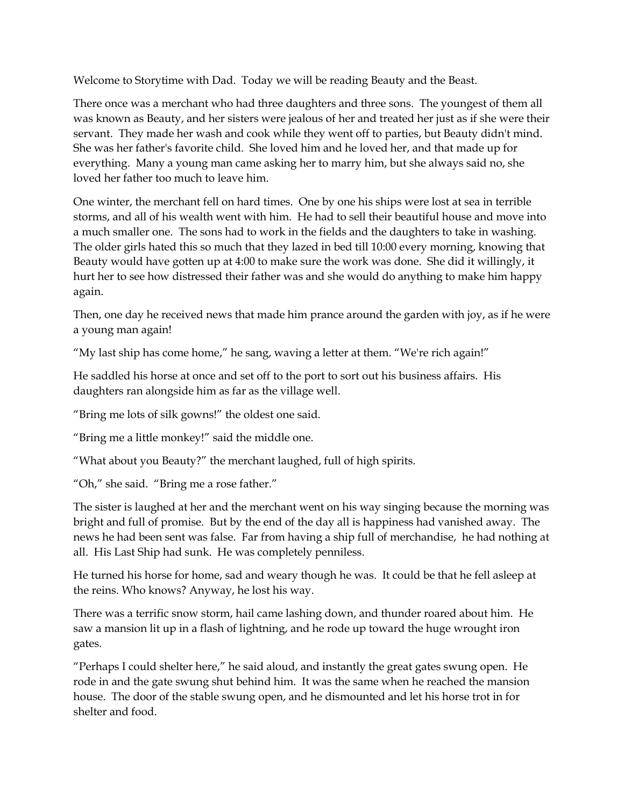Welcome to Storytime with Dad. Today we will be reading Beauty and the Beast.

There once was a merchant who had three daughters and three sons. The youngest of them all was known as Beauty, and her sisters were jealous of her and treated her just as if she were their servant. They made her wash and cook while they went off to parties, but Beauty didn't mind. She was her father's favorite child. She loved him and he loved her, and that made up for everything. Many a young man came asking her to marry him, but she always said no, she loved her father too much to leave him.

One winter, the merchant fell on hard times. One by one his ships were lost at sea in terrible storms, and all of his wealth went with him. He had to sell their beautiful house and move into a much smaller one. The sons had to work in the fields and the daughters to take in washing. The older girls hated this so much that they lazed in bed till 10:00 every morning, knowing that Beauty would have gotten up at 4:00 to make sure the work was done. She did it willingly, it hurt her to see how distressed their father was and she would do anything to make him happy again.

Then, one day he received news that made him prance around the garden with joy, as if he were a young man again!

"My last ship has come home," he sang, waving a letter at them. "We're rich again!"

He saddled his horse at once and set off to the port to sort out his business affairs. His daughters ran alongside him as far as the village well.

"Bring me lots of silk gowns!" the oldest one said.

"Bring me a little monkey!" said the middle one.

"What about you Beauty?" the merchant laughed, full of high spirits.

"Oh," she said. "Bring me a rose father."

The sister is laughed at her and the merchant went on his way singing because the morning was bright and full of promise. But by the end of the day all is happiness had vanished away. The news he had been sent was false. Far from having a ship full of merchandise, he had nothing at all. His Last Ship had sunk. He was completely penniless.

He turned his horse for home, sad and weary though he was. It could be that he fell asleep at the reins. Who knows? Anyway, he lost his way.

There was a terrific snow storm, hail came lashing down, and thunder roared about him. He saw a mansion lit up in a flash of lightning, and he rode up toward the huge wrought iron gates.

"Perhaps I could shelter here," he said aloud, and instantly the great gates swung open. He rode in and the gate swung shut behind him. It was the same when he reached the mansion house. The door of the stable swung open, and he dismounted and let his horse trot in for shelter and food.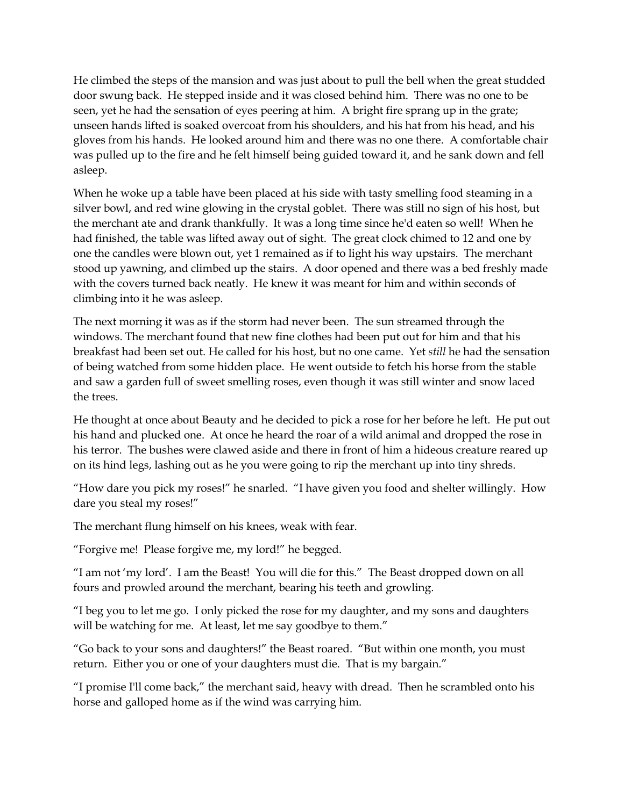He climbed the steps of the mansion and was just about to pull the bell when the great studded door swung back. He stepped inside and it was closed behind him. There was no one to be seen, yet he had the sensation of eyes peering at him. A bright fire sprang up in the grate; unseen hands lifted is soaked overcoat from his shoulders, and his hat from his head, and his gloves from his hands. He looked around him and there was no one there. A comfortable chair was pulled up to the fire and he felt himself being guided toward it, and he sank down and fell asleep.

When he woke up a table have been placed at his side with tasty smelling food steaming in a silver bowl, and red wine glowing in the crystal goblet. There was still no sign of his host, but the merchant ate and drank thankfully. It was a long time since he'd eaten so well! When he had finished, the table was lifted away out of sight. The great clock chimed to 12 and one by one the candles were blown out, yet 1 remained as if to light his way upstairs. The merchant stood up yawning, and climbed up the stairs. A door opened and there was a bed freshly made with the covers turned back neatly. He knew it was meant for him and within seconds of climbing into it he was asleep.

The next morning it was as if the storm had never been. The sun streamed through the windows. The merchant found that new fine clothes had been put out for him and that his breakfast had been set out. He called for his host, but no one came. Yet *still* he had the sensation of being watched from some hidden place. He went outside to fetch his horse from the stable and saw a garden full of sweet smelling roses, even though it was still winter and snow laced the trees.

He thought at once about Beauty and he decided to pick a rose for her before he left. He put out his hand and plucked one. At once he heard the roar of a wild animal and dropped the rose in his terror. The bushes were clawed aside and there in front of him a hideous creature reared up on its hind legs, lashing out as he you were going to rip the merchant up into tiny shreds.

"How dare you pick my roses!" he snarled. "I have given you food and shelter willingly. How dare you steal my roses!"

The merchant flung himself on his knees, weak with fear.

"Forgive me! Please forgive me, my lord!" he begged.

"I am not 'my lord'. I am the Beast! You will die for this." The Beast dropped down on all fours and prowled around the merchant, bearing his teeth and growling.

"I beg you to let me go. I only picked the rose for my daughter, and my sons and daughters will be watching for me. At least, let me say goodbye to them."

"Go back to your sons and daughters!" the Beast roared. "But within one month, you must return. Either you or one of your daughters must die. That is my bargain."

"I promise I'll come back," the merchant said, heavy with dread. Then he scrambled onto his horse and galloped home as if the wind was carrying him.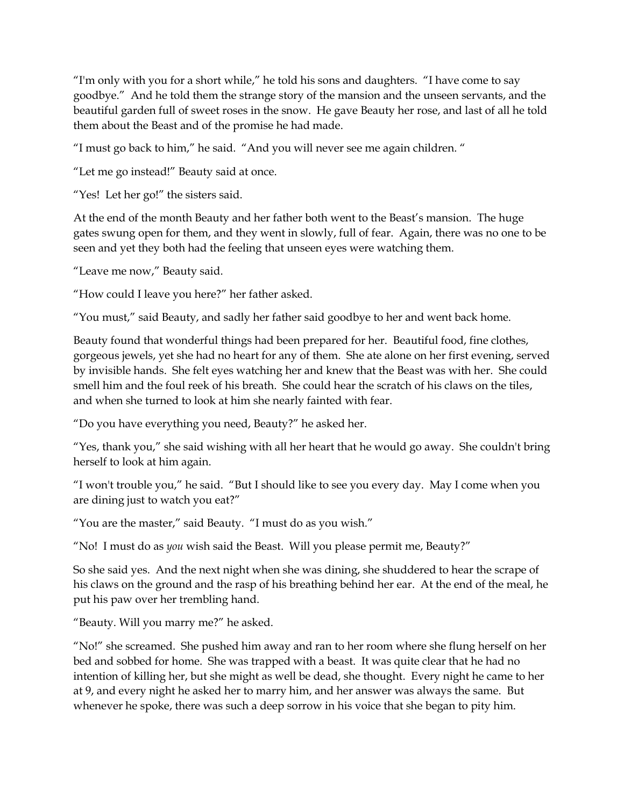"I'm only with you for a short while," he told his sons and daughters. "I have come to say goodbye." And he told them the strange story of the mansion and the unseen servants, and the beautiful garden full of sweet roses in the snow. He gave Beauty her rose, and last of all he told them about the Beast and of the promise he had made.

"I must go back to him," he said. "And you will never see me again children. "

"Let me go instead!" Beauty said at once.

"Yes! Let her go!" the sisters said.

At the end of the month Beauty and her father both went to the Beast's mansion. The huge gates swung open for them, and they went in slowly, full of fear. Again, there was no one to be seen and yet they both had the feeling that unseen eyes were watching them.

"Leave me now," Beauty said.

"How could I leave you here?" her father asked.

"You must," said Beauty, and sadly her father said goodbye to her and went back home.

Beauty found that wonderful things had been prepared for her. Beautiful food, fine clothes, gorgeous jewels, yet she had no heart for any of them. She ate alone on her first evening, served by invisible hands. She felt eyes watching her and knew that the Beast was with her. She could smell him and the foul reek of his breath. She could hear the scratch of his claws on the tiles, and when she turned to look at him she nearly fainted with fear.

"Do you have everything you need, Beauty?" he asked her.

"Yes, thank you," she said wishing with all her heart that he would go away. She couldn't bring herself to look at him again.

"I won't trouble you," he said. "But I should like to see you every day. May I come when you are dining just to watch you eat?"

"You are the master," said Beauty. "I must do as you wish."

"No! I must do as *you* wish said the Beast. Will you please permit me, Beauty?"

So she said yes. And the next night when she was dining, she shuddered to hear the scrape of his claws on the ground and the rasp of his breathing behind her ear. At the end of the meal, he put his paw over her trembling hand.

"Beauty. Will you marry me?" he asked.

"No!" she screamed. She pushed him away and ran to her room where she flung herself on her bed and sobbed for home. She was trapped with a beast. It was quite clear that he had no intention of killing her, but she might as well be dead, she thought. Every night he came to her at 9, and every night he asked her to marry him, and her answer was always the same. But whenever he spoke, there was such a deep sorrow in his voice that she began to pity him.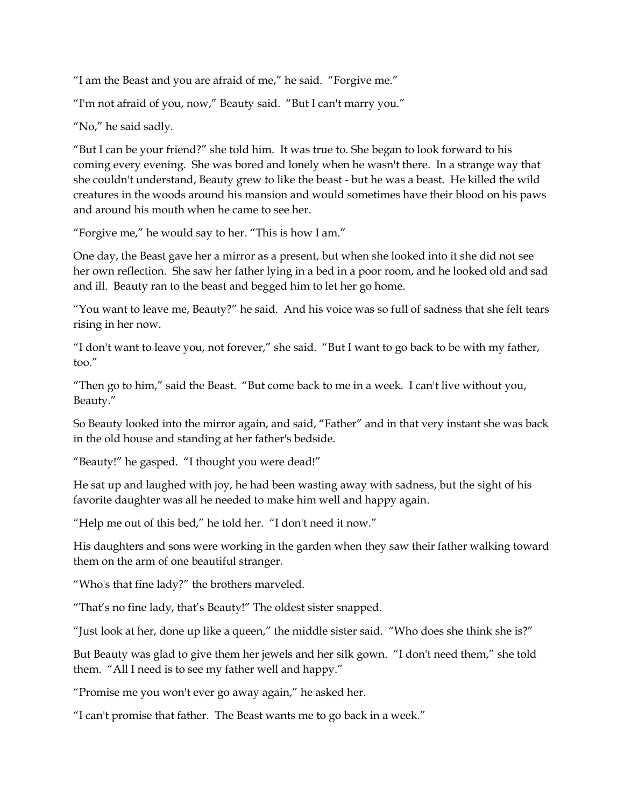"I am the Beast and you are afraid of me," he said. "Forgive me."

"I'm not afraid of you, now," Beauty said. "But I can't marry you."

"No," he said sadly.

"But I can be your friend?" she told him. It was true to. She began to look forward to his coming every evening. She was bored and lonely when he wasn't there. In a strange way that she couldn't understand, Beauty grew to like the beast - but he was a beast. He killed the wild creatures in the woods around his mansion and would sometimes have their blood on his paws and around his mouth when he came to see her.

"Forgive me," he would say to her. "This is how I am."

One day, the Beast gave her a mirror as a present, but when she looked into it she did not see her own reflection. She saw her father lying in a bed in a poor room, and he looked old and sad and ill. Beauty ran to the beast and begged him to let her go home.

"You want to leave me, Beauty?" he said. And his voice was so full of sadness that she felt tears rising in her now.

"I don't want to leave you, not forever," she said. "But I want to go back to be with my father, too."

"Then go to him," said the Beast. "But come back to me in a week. I can't live without you, Beauty."

So Beauty looked into the mirror again, and said, "Father" and in that very instant she was back in the old house and standing at her father's bedside.

"Beauty!" he gasped. "I thought you were dead!"

He sat up and laughed with joy, he had been wasting away with sadness, but the sight of his favorite daughter was all he needed to make him well and happy again.

"Help me out of this bed," he told her. "I don't need it now."

His daughters and sons were working in the garden when they saw their father walking toward them on the arm of one beautiful stranger.

"Who's that fine lady?" the brothers marveled.

"That's no fine lady, that's Beauty!" The oldest sister snapped.

"Just look at her, done up like a queen," the middle sister said. "Who does she think she is?"

But Beauty was glad to give them her jewels and her silk gown. "I don't need them," she told them. "All I need is to see my father well and happy."

"Promise me you won't ever go away again," he asked her.

"I can't promise that father. The Beast wants me to go back in a week."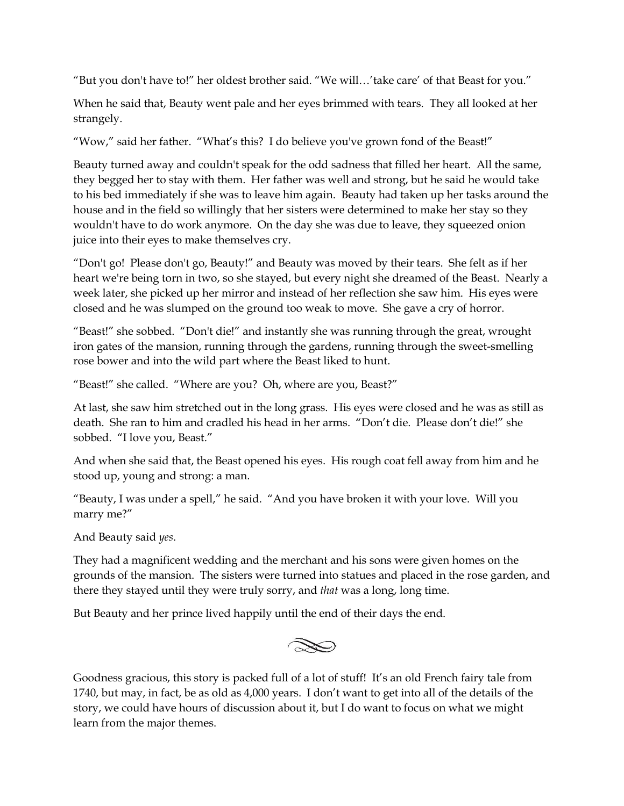"But you don't have to!" her oldest brother said. "We will…'take care' of that Beast for you."

When he said that, Beauty went pale and her eyes brimmed with tears. They all looked at her strangely.

"Wow," said her father. "What's this? I do believe you've grown fond of the Beast!"

Beauty turned away and couldn't speak for the odd sadness that filled her heart. All the same, they begged her to stay with them. Her father was well and strong, but he said he would take to his bed immediately if she was to leave him again. Beauty had taken up her tasks around the house and in the field so willingly that her sisters were determined to make her stay so they wouldn't have to do work anymore. On the day she was due to leave, they squeezed onion juice into their eyes to make themselves cry.

"Don't go! Please don't go, Beauty!" and Beauty was moved by their tears. She felt as if her heart we're being torn in two, so she stayed, but every night she dreamed of the Beast. Nearly a week later, she picked up her mirror and instead of her reflection she saw him. His eyes were closed and he was slumped on the ground too weak to move. She gave a cry of horror.

"Beast!" she sobbed. "Don't die!" and instantly she was running through the great, wrought iron gates of the mansion, running through the gardens, running through the sweet-smelling rose bower and into the wild part where the Beast liked to hunt.

"Beast!" she called. "Where are you? Oh, where are you, Beast?"

At last, she saw him stretched out in the long grass. His eyes were closed and he was as still as death. She ran to him and cradled his head in her arms. "Don't die. Please don't die!" she sobbed. "I love you, Beast."

And when she said that, the Beast opened his eyes. His rough coat fell away from him and he stood up, young and strong: a man.

"Beauty, I was under a spell," he said. "And you have broken it with your love. Will you marry me?"

And Beauty said *yes*.

They had a magnificent wedding and the merchant and his sons were given homes on the grounds of the mansion. The sisters were turned into statues and placed in the rose garden, and there they stayed until they were truly sorry, and *that* was a long, long time.

But Beauty and her prince lived happily until the end of their days the end.

 $\approx$ 

Goodness gracious, this story is packed full of a lot of stuff! It's an old French fairy tale from 1740, but may, in fact, be as old as 4,000 years. I don't want to get into all of the details of the story, we could have hours of discussion about it, but I do want to focus on what we might learn from the major themes.